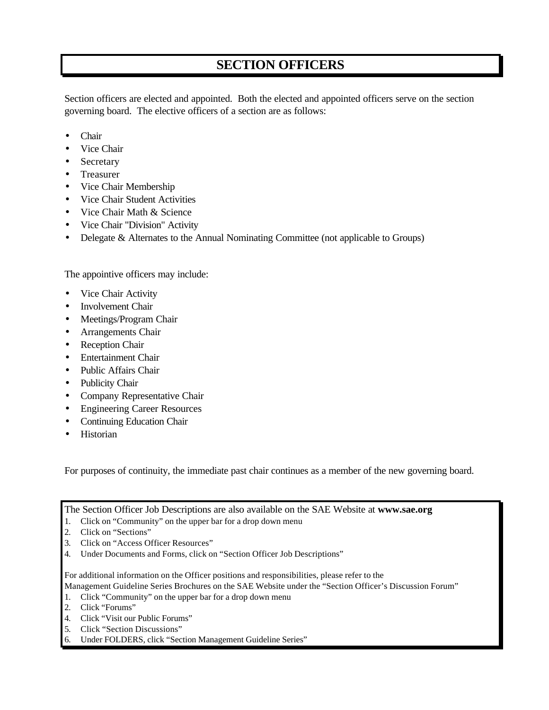## **SECTION OFFICERS**

Section officers are elected and appointed. Both the elected and appointed officers serve on the section governing board. The elective officers of a section are as follows:

- Chair
- Vice Chair
- Secretary
- Treasurer
- Vice Chair Membership
- Vice Chair Student Activities
- Vice Chair Math & Science
- Vice Chair "Division" Activity
- Delegate & Alternates to the Annual Nominating Committee (not applicable to Groups)

The appointive officers may include:

- Vice Chair Activity
- Involvement Chair
- Meetings/Program Chair
- Arrangements Chair
- Reception Chair
- Entertainment Chair
- Public Affairs Chair
- Publicity Chair
- Company Representative Chair
- Engineering Career Resources
- Continuing Education Chair
- Historian

For purposes of continuity, the immediate past chair continues as a member of the new governing board.

The Section Officer Job Descriptions are also available on the SAE Website at **www.sae.org**

- 1. Click on "Community" on the upper bar for a drop down menu
- 2. Click on "Sections"
- 3. Click on "Access Officer Resources"
- 4. Under Documents and Forms, click on "Section Officer Job Descriptions"

For additional information on the Officer positions and responsibilities, please refer to the

Management Guideline Series Brochures on the SAE Website under the "Section Officer's Discussion Forum"

- 1. Click "Community" on the upper bar for a drop down menu
- 2. Click "Forums"
- 4. Click "Visit our Public Forums"
- 5. Click "Section Discussions"
- 6. Under FOLDERS, click "Section Management Guideline Series"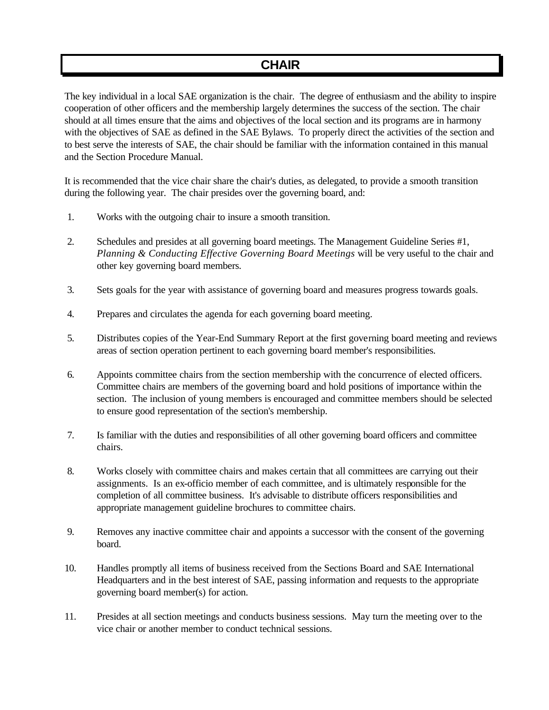### **CHAIR**

The key individual in a local SAE organization is the chair. The degree of enthusiasm and the ability to inspire cooperation of other officers and the membership largely determines the success of the section. The chair should at all times ensure that the aims and objectives of the local section and its programs are in harmony with the objectives of SAE as defined in the SAE Bylaws. To properly direct the activities of the section and to best serve the interests of SAE, the chair should be familiar with the information contained in this manual and the Section Procedure Manual.

It is recommended that the vice chair share the chair's duties, as delegated, to provide a smooth transition during the following year. The chair presides over the governing board, and:

- 1. Works with the outgoing chair to insure a smooth transition.
- 2. Schedules and presides at all governing board meetings. The Management Guideline Series #1, *Planning & Conducting Effective Governing Board Meetings* will be very useful to the chair and other key governing board members.
- 3. Sets goals for the year with assistance of governing board and measures progress towards goals.
- 4. Prepares and circulates the agenda for each governing board meeting.
- 5. Distributes copies of the Year-End Summary Report at the first governing board meeting and reviews areas of section operation pertinent to each governing board member's responsibilities.
- 6. Appoints committee chairs from the section membership with the concurrence of elected officers. Committee chairs are members of the governing board and hold positions of importance within the section. The inclusion of young members is encouraged and committee members should be selected to ensure good representation of the section's membership.
- 7. Is familiar with the duties and responsibilities of all other governing board officers and committee chairs.
- 8. Works closely with committee chairs and makes certain that all committees are carrying out their assignments. Is an ex-officio member of each committee, and is ultimately responsible for the completion of all committee business. It's advisable to distribute officers responsibilities and appropriate management guideline brochures to committee chairs.
- 9. Removes any inactive committee chair and appoints a successor with the consent of the governing board.
- 10. Handles promptly all items of business received from the Sections Board and SAE International Headquarters and in the best interest of SAE, passing information and requests to the appropriate governing board member(s) for action.
- 11. Presides at all section meetings and conducts business sessions. May turn the meeting over to the vice chair or another member to conduct technical sessions.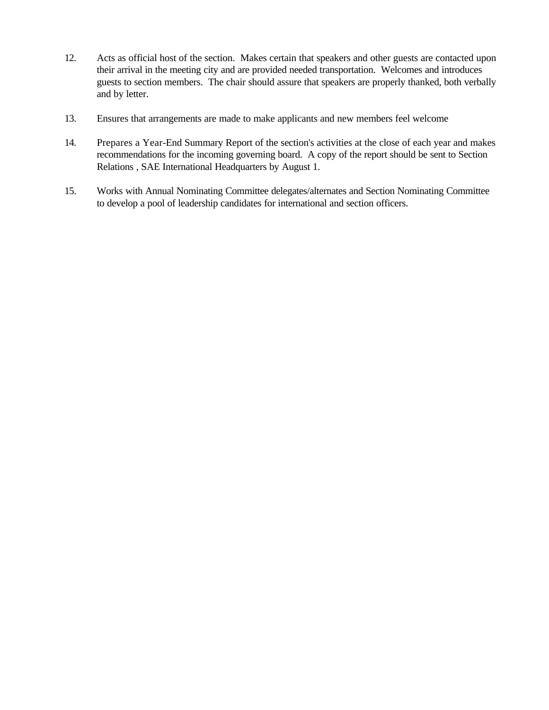- 12. Acts as official host of the section. Makes certain that speakers and other guests are contacted upon their arrival in the meeting city and are provided needed transportation. Welcomes and introduces guests to section members. The chair should assure that speakers are properly thanked, both verbally and by letter.
- 13. Ensures that arrangements are made to make applicants and new members feel welcome
- 14. Prepares a Year-End Summary Report of the section's activities at the close of each year and makes recommendations for the incoming governing board. A copy of the report should be sent to Section Relations , SAE International Headquarters by August 1.
- 15. Works with Annual Nominating Committee delegates/alternates and Section Nominating Committee to develop a pool of leadership candidates for international and section officers.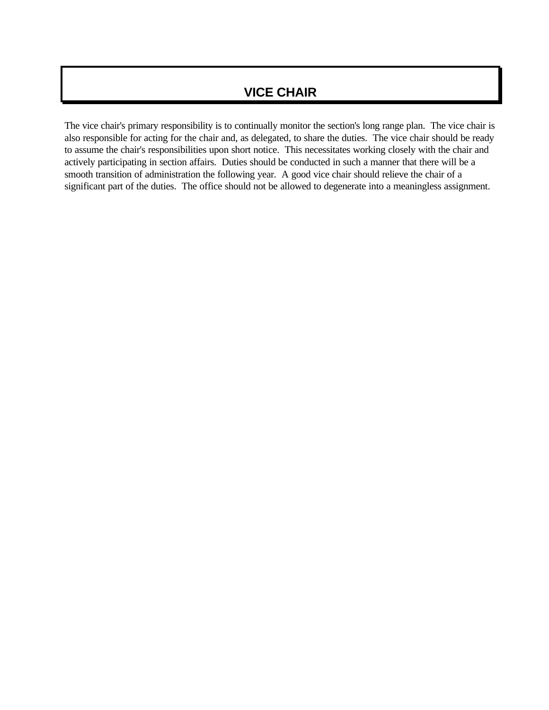### **VICE CHAIR**

The vice chair's primary responsibility is to continually monitor the section's long range plan. The vice chair is also responsible for acting for the chair and, as delegated, to share the duties. The vice chair should be ready to assume the chair's responsibilities upon short notice. This necessitates working closely with the chair and actively participating in section affairs. Duties should be conducted in such a manner that there will be a smooth transition of administration the following year. A good vice chair should relieve the chair of a significant part of the duties. The office should not be allowed to degenerate into a meaningless assignment.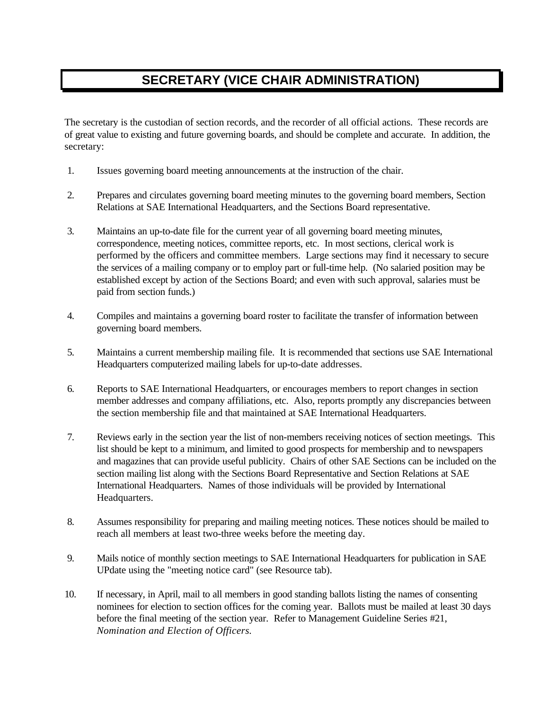# **SECRETARY (VICE CHAIR ADMINISTRATION)**

The secretary is the custodian of section records, and the recorder of all official actions. These records are of great value to existing and future governing boards, and should be complete and accurate. In addition, the secretary:

- 1. Issues governing board meeting announcements at the instruction of the chair.
- 2. Prepares and circulates governing board meeting minutes to the governing board members, Section Relations at SAE International Headquarters, and the Sections Board representative.
- 3. Maintains an up-to-date file for the current year of all governing board meeting minutes, correspondence, meeting notices, committee reports, etc. In most sections, clerical work is performed by the officers and committee members. Large sections may find it necessary to secure the services of a mailing company or to employ part or full-time help. (No salaried position may be established except by action of the Sections Board; and even with such approval, salaries must be paid from section funds.)
- 4. Compiles and maintains a governing board roster to facilitate the transfer of information between governing board members.
- 5. Maintains a current membership mailing file. It is recommended that sections use SAE International Headquarters computerized mailing labels for up-to-date addresses.
- 6. Reports to SAE International Headquarters, or encourages members to report changes in section member addresses and company affiliations, etc. Also, reports promptly any discrepancies between the section membership file and that maintained at SAE International Headquarters.
- 7. Reviews early in the section year the list of non-members receiving notices of section meetings. This list should be kept to a minimum, and limited to good prospects for membership and to newspapers and magazines that can provide useful publicity. Chairs of other SAE Sections can be included on the section mailing list along with the Sections Board Representative and Section Relations at SAE International Headquarters. Names of those individuals will be provided by International Headquarters.
- 8. Assumes responsibility for preparing and mailing meeting notices. These notices should be mailed to reach all members at least two-three weeks before the meeting day.
- 9. Mails notice of monthly section meetings to SAE International Headquarters for publication in SAE UPdate using the "meeting notice card" (see Resource tab).
- 10. If necessary, in April, mail to all members in good standing ballots listing the names of consenting nominees for election to section offices for the coming year. Ballots must be mailed at least 30 days before the final meeting of the section year. Refer to Management Guideline Series #21, *Nomination and Election of Officers.*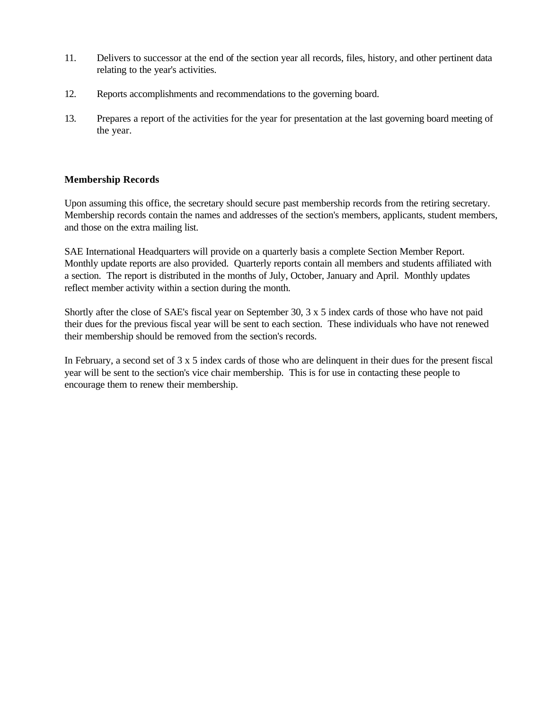- 11. Delivers to successor at the end of the section year all records, files, history, and other pertinent data relating to the year's activities.
- 12. Reports accomplishments and recommendations to the governing board.
- 13. Prepares a report of the activities for the year for presentation at the last governing board meeting of the year.

#### **Membership Records**

Upon assuming this office, the secretary should secure past membership records from the retiring secretary. Membership records contain the names and addresses of the section's members, applicants, student members, and those on the extra mailing list.

SAE International Headquarters will provide on a quarterly basis a complete Section Member Report. Monthly update reports are also provided. Quarterly reports contain all members and students affiliated with a section. The report is distributed in the months of July, October, January and April. Monthly updates reflect member activity within a section during the month.

Shortly after the close of SAE's fiscal year on September 30, 3 x 5 index cards of those who have not paid their dues for the previous fiscal year will be sent to each section. These individuals who have not renewed their membership should be removed from the section's records.

In February, a second set of 3 x 5 index cards of those who are delinquent in their dues for the present fiscal year will be sent to the section's vice chair membership. This is for use in contacting these people to encourage them to renew their membership.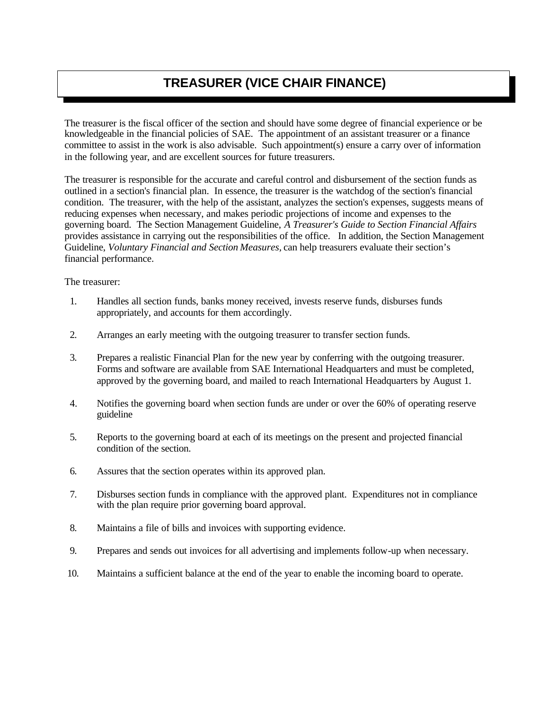# **TREASURER (VICE CHAIR FINANCE)**

The treasurer is the fiscal officer of the section and should have some degree of financial experience or be knowledgeable in the financial policies of SAE. The appointment of an assistant treasurer or a finance committee to assist in the work is also advisable. Such appointment(s) ensure a carry over of information in the following year, and are excellent sources for future treasurers.

The treasurer is responsible for the accurate and careful control and disbursement of the section funds as outlined in a section's financial plan. In essence, the treasurer is the watchdog of the section's financial condition. The treasurer, with the help of the assistant, analyzes the section's expenses, suggests means of reducing expenses when necessary, and makes periodic projections of income and expenses to the governing board. The Section Management Guideline, *A Treasurer's Guide to Section Financial Affairs* provides assistance in carrying out the responsibilities of the office. In addition, the Section Management Guideline, *Voluntary Financial and Section Measures,* can help treasurers evaluate their section's financial performance.

The treasurer:

- 1. Handles all section funds, banks money received, invests reserve funds, disburses funds appropriately, and accounts for them accordingly.
- 2. Arranges an early meeting with the outgoing treasurer to transfer section funds.
- 3. Prepares a realistic Financial Plan for the new year by conferring with the outgoing treasurer. Forms and software are available from SAE International Headquarters and must be completed, approved by the governing board, and mailed to reach International Headquarters by August 1.
- 4. Notifies the governing board when section funds are under or over the 60% of operating reserve guideline
- 5. Reports to the governing board at each of its meetings on the present and projected financial condition of the section.
- 6. Assures that the section operates within its approved plan.
- 7. Disburses section funds in compliance with the approved plant. Expenditures not in compliance with the plan require prior governing board approval.
- 8. Maintains a file of bills and invoices with supporting evidence.
- 9. Prepares and sends out invoices for all advertising and implements follow-up when necessary.
- 10. Maintains a sufficient balance at the end of the year to enable the incoming board to operate.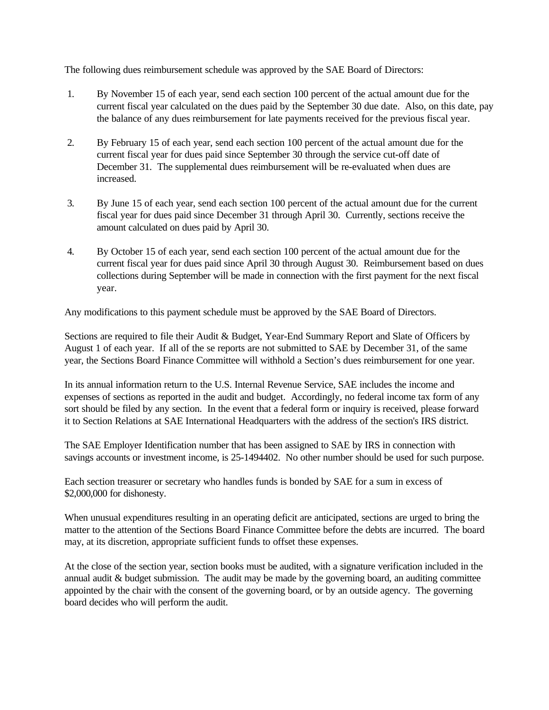The following dues reimbursement schedule was approved by the SAE Board of Directors:

- 1. By November 15 of each year, send each section 100 percent of the actual amount due for the current fiscal year calculated on the dues paid by the September 30 due date. Also, on this date, pay the balance of any dues reimbursement for late payments received for the previous fiscal year.
- 2. By February 15 of each year, send each section 100 percent of the actual amount due for the current fiscal year for dues paid since September 30 through the service cut-off date of December 31. The supplemental dues reimbursement will be re-evaluated when dues are increased.
- 3. By June 15 of each year, send each section 100 percent of the actual amount due for the current fiscal year for dues paid since December 31 through April 30. Currently, sections receive the amount calculated on dues paid by April 30.
- 4. By October 15 of each year, send each section 100 percent of the actual amount due for the current fiscal year for dues paid since April 30 through August 30. Reimbursement based on dues collections during September will be made in connection with the first payment for the next fiscal year.

Any modifications to this payment schedule must be approved by the SAE Board of Directors.

Sections are required to file their Audit & Budget, Year-End Summary Report and Slate of Officers by August 1 of each year. If all of the se reports are not submitted to SAE by December 31, of the same year, the Sections Board Finance Committee will withhold a Section's dues reimbursement for one year.

In its annual information return to the U.S. Internal Revenue Service, SAE includes the income and expenses of sections as reported in the audit and budget. Accordingly, no federal income tax form of any sort should be filed by any section. In the event that a federal form or inquiry is received, please forward it to Section Relations at SAE International Headquarters with the address of the section's IRS district.

The SAE Employer Identification number that has been assigned to SAE by IRS in connection with savings accounts or investment income, is 25-1494402. No other number should be used for such purpose.

Each section treasurer or secretary who handles funds is bonded by SAE for a sum in excess of \$2,000,000 for dishonesty.

When unusual expenditures resulting in an operating deficit are anticipated, sections are urged to bring the matter to the attention of the Sections Board Finance Committee before the debts are incurred. The board may, at its discretion, appropriate sufficient funds to offset these expenses.

At the close of the section year, section books must be audited, with a signature verification included in the annual audit & budget submission. The audit may be made by the governing board, an auditing committee appointed by the chair with the consent of the governing board, or by an outside agency. The governing board decides who will perform the audit.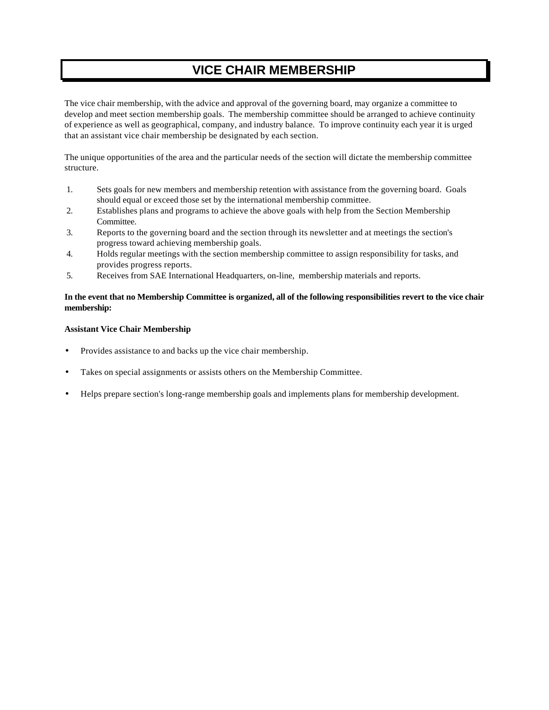## **VICE CHAIR MEMBERSHIP**

The vice chair membership, with the advice and approval of the governing board, may organize a committee to develop and meet section membership goals. The membership committee should be arranged to achieve continuity of experience as well as geographical, company, and industry balance. To improve continuity each year it is urged that an assistant vice chair membership be designated by each section.

The unique opportunities of the area and the particular needs of the section will dictate the membership committee structure.

- 1. Sets goals for new members and membership retention with assistance from the governing board. Goals should equal or exceed those set by the international membership committee.
- 2. Establishes plans and programs to achieve the above goals with help from the Section Membership Committee.
- 3. Reports to the governing board and the section through its newsletter and at meetings the section's progress toward achieving membership goals.
- 4. Holds regular meetings with the section membership committee to assign responsibility for tasks, and provides progress reports.
- 5. Receives from SAE International Headquarters, on-line, membership materials and reports.

#### **In the event that no Membership Committee is organized, all of the following responsibilities revert to the vice chair membership:**

#### **Assistant Vice Chair Membership**

- Provides assistance to and backs up the vice chair membership.
- Takes on special assignments or assists others on the Membership Committee.
- Helps prepare section's long-range membership goals and implements plans for membership development.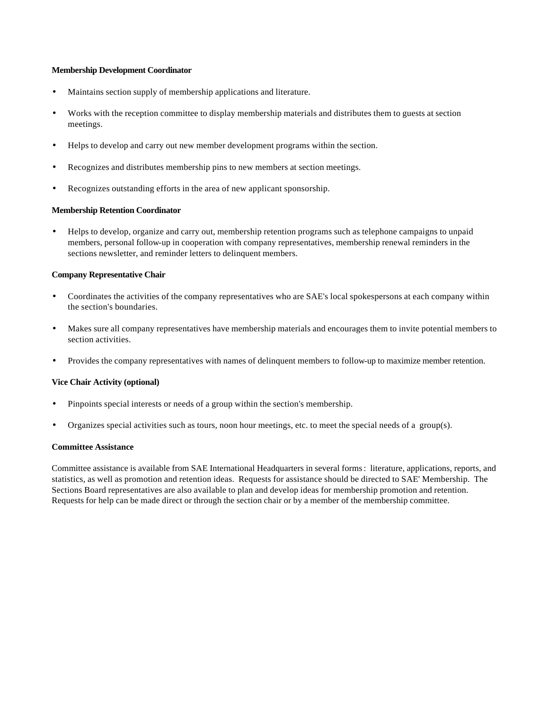#### **Membership Development Coordinator**

- Maintains section supply of membership applications and literature.
- Works with the reception committee to display membership materials and distributes them to guests at section meetings.
- Helps to develop and carry out new member development programs within the section.
- Recognizes and distributes membership pins to new members at section meetings.
- Recognizes outstanding efforts in the area of new applicant sponsorship.

#### **Membership Retention Coordinator**

• Helps to develop, organize and carry out, membership retention programs such as telephone campaigns to unpaid members, personal follow-up in cooperation with company representatives, membership renewal reminders in the sections newsletter, and reminder letters to delinquent members.

#### **Company Representative Chair**

- Coordinates the activities of the company representatives who are SAE's local spokespersons at each company within the section's boundaries.
- Makes sure all company representatives have membership materials and encourages them to invite potential members to section activities.
- Provides the company representatives with names of delinquent members to follow-up to maximize member retention.

#### **Vice Chair Activity (optional)**

- Pinpoints special interests or needs of a group within the section's membership.
- Organizes special activities such as tours, noon hour meetings, etc. to meet the special needs of a group(s).

#### **Committee Assistance**

Committee assistance is available from SAE International Headquarters in several forms: literature, applications, reports, and statistics, as well as promotion and retention ideas. Requests for assistance should be directed to SAE' Membership. The Sections Board representatives are also available to plan and develop ideas for membership promotion and retention. Requests for help can be made direct or through the section chair or by a member of the membership committee.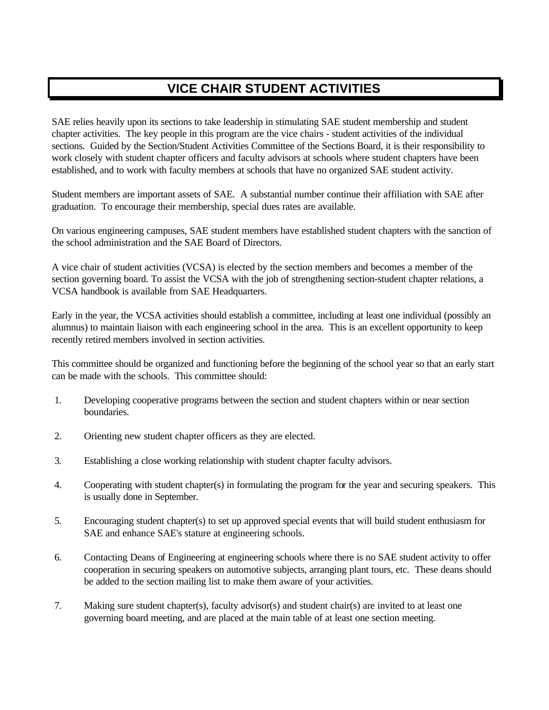# **VICE CHAIR STUDENT ACTIVITIES**

SAE relies heavily upon its sections to take leadership in stimulating SAE student membership and student chapter activities. The key people in this program are the vice chairs - student activities of the individual sections. Guided by the Section/Student Activities Committee of the Sections Board, it is their responsibility to work closely with student chapter officers and faculty advisors at schools where student chapters have been established, and to work with faculty members at schools that have no organized SAE student activity.

Student members are important assets of SAE. A substantial number continue their affiliation with SAE after graduation. To encourage their membership, special dues rates are available.

On various engineering campuses, SAE student members have established student chapters with the sanction of the school administration and the SAE Board of Directors.

A vice chair of student activities (VCSA) is elected by the section members and becomes a member of the section governing board. To assist the VCSA with the job of strengthening section-student chapter relations, a VCSA handbook is available from SAE Headquarters.

Early in the year, the VCSA activities should establish a committee, including at least one individual (possibly an alumnus) to maintain liaison with each engineering school in the area. This is an excellent opportunity to keep recently retired members involved in section activities.

This committee should be organized and functioning before the beginning of the school year so that an early start can be made with the schools. This committee should:

- 1. Developing cooperative programs between the section and student chapters within or near section boundaries.
- 2. Orienting new student chapter officers as they are elected.
- 3. Establishing a close working relationship with student chapter faculty advisors.
- 4. Cooperating with student chapter(s) in formulating the program for the year and securing speakers. This is usually done in September.
- 5. Encouraging student chapter(s) to set up approved special events that will build student enthusiasm for SAE and enhance SAE's stature at engineering schools.
- 6. Contacting Deans of Engineering at engineering schools where there is no SAE student activity to offer cooperation in securing speakers on automotive subjects, arranging plant tours, etc. These deans should be added to the section mailing list to make them aware of your activities.
- 7. Making sure student chapter(s), faculty advisor(s) and student chair(s) are invited to at least one governing board meeting, and are placed at the main table of at least one section meeting.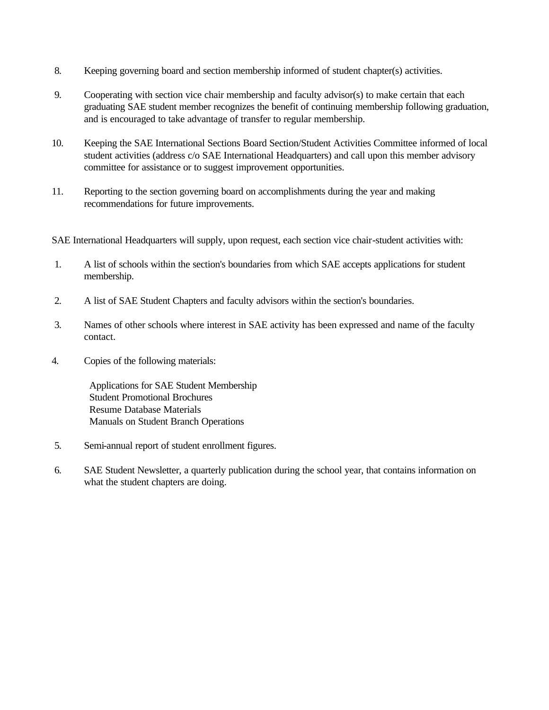- 8. Keeping governing board and section membership informed of student chapter(s) activities.
- 9. Cooperating with section vice chair membership and faculty advisor(s) to make certain that each graduating SAE student member recognizes the benefit of continuing membership following graduation, and is encouraged to take advantage of transfer to regular membership.
- 10. Keeping the SAE International Sections Board Section/Student Activities Committee informed of local student activities (address c/o SAE International Headquarters) and call upon this member advisory committee for assistance or to suggest improvement opportunities.
- 11. Reporting to the section governing board on accomplishments during the year and making recommendations for future improvements.

SAE International Headquarters will supply, upon request, each section vice chair-student activities with:

- 1. A list of schools within the section's boundaries from which SAE accepts applications for student membership.
- 2. A list of SAE Student Chapters and faculty advisors within the section's boundaries.
- 3. Names of other schools where interest in SAE activity has been expressed and name of the faculty contact.
- 4. Copies of the following materials:

 Applications for SAE Student Membership Student Promotional Brochures Resume Database Materials Manuals on Student Branch Operations

- 5. Semi-annual report of student enrollment figures.
- 6. SAE Student Newsletter, a quarterly publication during the school year, that contains information on what the student chapters are doing.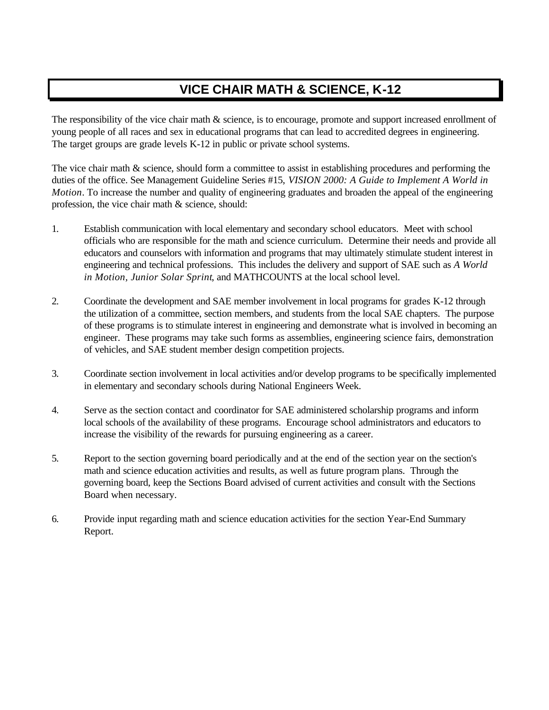# **VICE CHAIR MATH & SCIENCE, K-12**

The responsibility of the vice chair math & science, is to encourage, promote and support increased enrollment of young people of all races and sex in educational programs that can lead to accredited degrees in engineering. The target groups are grade levels K-12 in public or private school systems.

The vice chair math & science, should form a committee to assist in establishing procedures and performing the duties of the office. See Management Guideline Series #15, *VISION 2000: A Guide to Implement A World in Motion*. To increase the number and quality of engineering graduates and broaden the appeal of the engineering profession, the vice chair math & science, should:

- 1. Establish communication with local elementary and secondary school educators. Meet with school officials who are responsible for the math and science curriculum. Determine their needs and provide all educators and counselors with information and programs that may ultimately stimulate student interest in engineering and technical professions. This includes the delivery and support of SAE such as *A World in Motion, Junior Solar Sprint*, and MATHCOUNTS at the local school level.
- 2. Coordinate the development and SAE member involvement in local programs for grades K-12 through the utilization of a committee, section members, and students from the local SAE chapters. The purpose of these programs is to stimulate interest in engineering and demonstrate what is involved in becoming an engineer. These programs may take such forms as assemblies, engineering science fairs, demonstration of vehicles, and SAE student member design competition projects.
- 3. Coordinate section involvement in local activities and/or develop programs to be specifically implemented in elementary and secondary schools during National Engineers Week.
- 4. Serve as the section contact and coordinator for SAE administered scholarship programs and inform local schools of the availability of these programs. Encourage school administrators and educators to increase the visibility of the rewards for pursuing engineering as a career.
- 5. Report to the section governing board periodically and at the end of the section year on the section's math and science education activities and results, as well as future program plans. Through the governing board, keep the Sections Board advised of current activities and consult with the Sections Board when necessary.
- 6. Provide input regarding math and science education activities for the section Year-End Summary Report.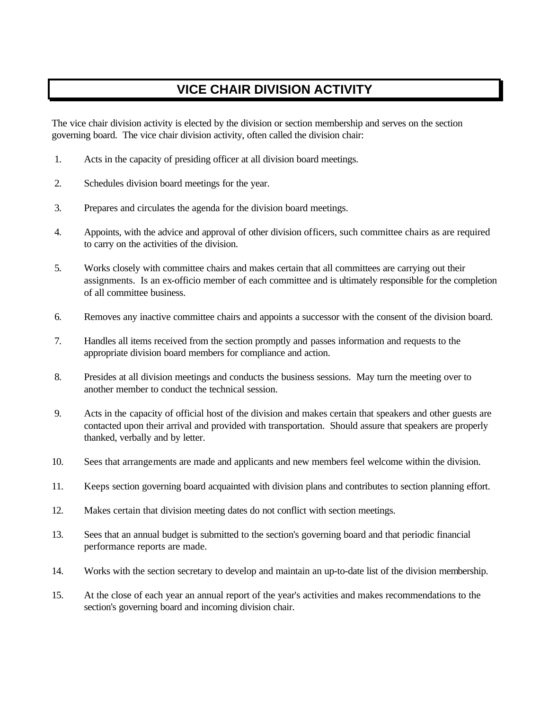# **VICE CHAIR DIVISION ACTIVITY**

The vice chair division activity is elected by the division or section membership and serves on the section governing board. The vice chair division activity, often called the division chair:

- 1. Acts in the capacity of presiding officer at all division board meetings.
- 2. Schedules division board meetings for the year.
- 3. Prepares and circulates the agenda for the division board meetings.
- 4. Appoints, with the advice and approval of other division officers, such committee chairs as are required to carry on the activities of the division.
- 5. Works closely with committee chairs and makes certain that all committees are carrying out their assignments. Is an ex-officio member of each committee and is ultimately responsible for the completion of all committee business.
- 6. Removes any inactive committee chairs and appoints a successor with the consent of the division board.
- 7. Handles all items received from the section promptly and passes information and requests to the appropriate division board members for compliance and action.
- 8. Presides at all division meetings and conducts the business sessions. May turn the meeting over to another member to conduct the technical session.
- 9. Acts in the capacity of official host of the division and makes certain that speakers and other guests are contacted upon their arrival and provided with transportation. Should assure that speakers are properly thanked, verbally and by letter.
- 10. Sees that arrangements are made and applicants and new members feel welcome within the division.
- 11. Keeps section governing board acquainted with division plans and contributes to section planning effort.
- 12. Makes certain that division meeting dates do not conflict with section meetings.
- 13. Sees that an annual budget is submitted to the section's governing board and that periodic financial performance reports are made.
- 14. Works with the section secretary to develop and maintain an up-to-date list of the division membership.
- 15. At the close of each year an annual report of the year's activities and makes recommendations to the section's governing board and incoming division chair.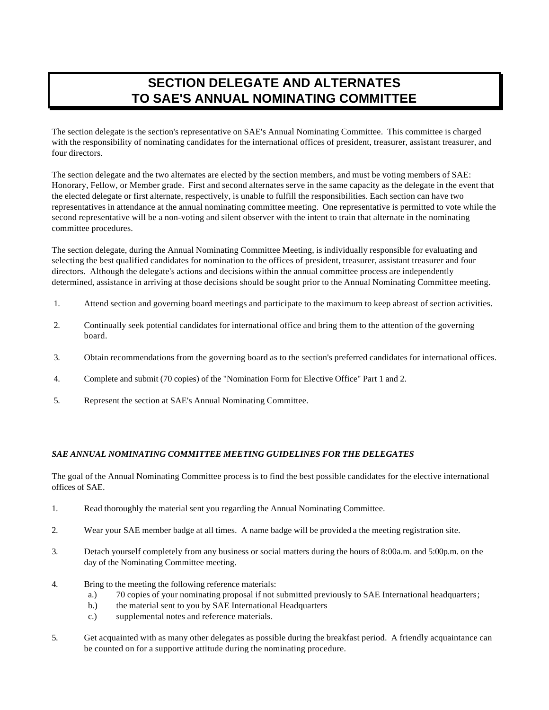# **SECTION DELEGATE AND ALTERNATES TO SAE'S ANNUAL NOMINATING COMMITTEE**

The section delegate is the section's representative on SAE's Annual Nominating Committee. This committee is charged with the responsibility of nominating candidates for the international offices of president, treasurer, assistant treasurer, and four directors.

The section delegate and the two alternates are elected by the section members, and must be voting members of SAE: Honorary, Fellow, or Member grade. First and second alternates serve in the same capacity as the delegate in the event that the elected delegate or first alternate, respectively, is unable to fulfill the responsibilities. Each section can have two representatives in attendance at the annual nominating committee meeting. One representative is permitted to vote while the second representative will be a non-voting and silent observer with the intent to train that alternate in the nominating committee procedures.

The section delegate, during the Annual Nominating Committee Meeting, is individually responsible for evaluating and selecting the best qualified candidates for nomination to the offices of president, treasurer, assistant treasurer and four directors. Although the delegate's actions and decisions within the annual committee process are independently determined, assistance in arriving at those decisions should be sought prior to the Annual Nominating Committee meeting.

- 1. Attend section and governing board meetings and participate to the maximum to keep abreast of section activities.
- 2. Continually seek potential candidates for international office and bring them to the attention of the governing board.
- 3. Obtain recommendations from the governing board as to the section's preferred candidates for international offices.
- 4. Complete and submit (70 copies) of the "Nomination Form for Elective Office" Part 1 and 2.
- 5. Represent the section at SAE's Annual Nominating Committee.

#### *SAE ANNUAL NOMINATING COMMITTEE MEETING GUIDELINES FOR THE DELEGATES*

The goal of the Annual Nominating Committee process is to find the best possible candidates for the elective international offices of SAE.

- 1. Read thoroughly the material sent you regarding the Annual Nominating Committee.
- 2. Wear your SAE member badge at all times. A name badge will be provided a the meeting registration site.
- 3. Detach yourself completely from any business or social matters during the hours of 8:00a.m. and 5:00p.m. on the day of the Nominating Committee meeting.
- 4. Bring to the meeting the following reference materials:
	- a.) 70 copies of your nominating proposal if not submitted previously to SAE International headquarters;
	- b.) the material sent to you by SAE International Headquarters
	- c.) supplemental notes and reference materials.
- 5. Get acquainted with as many other delegates as possible during the breakfast period. A friendly acquaintance can be counted on for a supportive attitude during the nominating procedure.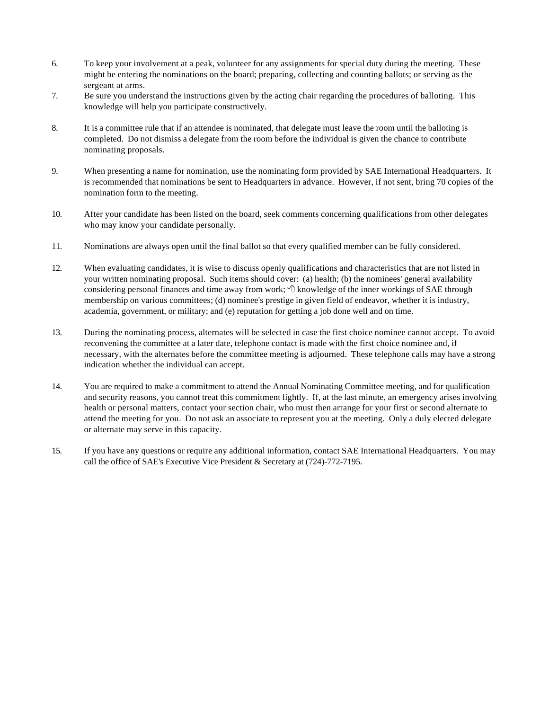- 6. To keep your involvement at a peak, volunteer for any assignments for special duty during the meeting. These might be entering the nominations on the board; preparing, collecting and counting ballots; or serving as the sergeant at arms.
- 7. Be sure you understand the instructions given by the acting chair regarding the procedures of balloting. This knowledge will help you participate constructively.
- 8. It is a committee rule that if an attendee is nominated, that delegate must leave the room until the balloting is completed. Do not dismiss a delegate from the room before the individual is given the chance to contribute nominating proposals.
- 9. When presenting a name for nomination, use the nominating form provided by SAE International Headquarters. It is recommended that nominations be sent to Headquarters in advance. However, if not sent, bring 70 copies of the nomination form to the meeting.
- 10. After your candidate has been listed on the board, seek comments concerning qualifications from other delegates who may know your candidate personally.
- 11. Nominations are always open until the final ballot so that every qualified member can be fully considered.
- 12. When evaluating candidates, it is wise to discuss openly qualifications and characteristics that are not listed in your written nominating proposal. Such items should cover: (a) health; (b) the nominees' general availability considering personal finances and time away from work;  $\sqrt{\sigma}$  knowledge of the inner workings of SAE through membership on various committees; (d) nominee's prestige in given field of endeavor, whether it is industry, academia, government, or military; and (e) reputation for getting a job done well and on time.
- 13. During the nominating process, alternates will be selected in case the first choice nominee cannot accept. To avoid reconvening the committee at a later date, telephone contact is made with the first choice nominee and, if necessary, with the alternates before the committee meeting is adjourned. These telephone calls may have a strong indication whether the individual can accept.
- 14. You are required to make a commitment to attend the Annual Nominating Committee meeting, and for qualification and security reasons, you cannot treat this commitment lightly. If, at the last minute, an emergency arises involving health or personal matters, contact your section chair, who must then arrange for your first or second alternate to attend the meeting for you. Do not ask an associate to represent you at the meeting. Only a duly elected delegate or alternate may serve in this capacity.
- 15. If you have any questions or require any additional information, contact SAE International Headquarters. You may call the office of SAE's Executive Vice President & Secretary at (724)-772-7195.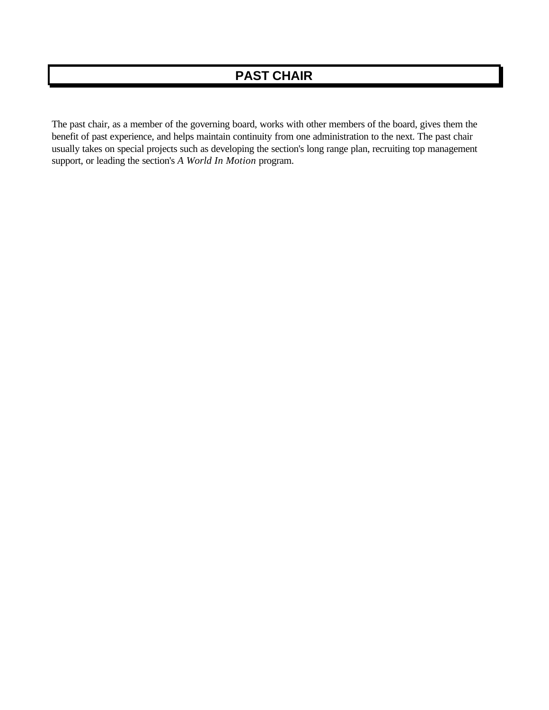The past chair, as a member of the governing board, works with other members of the board, gives them the benefit of past experience, and helps maintain continuity from one administration to the next. The past chair usually takes on special projects such as developing the section's long range plan, recruiting top management support, or leading the section's *A World In Motion* program.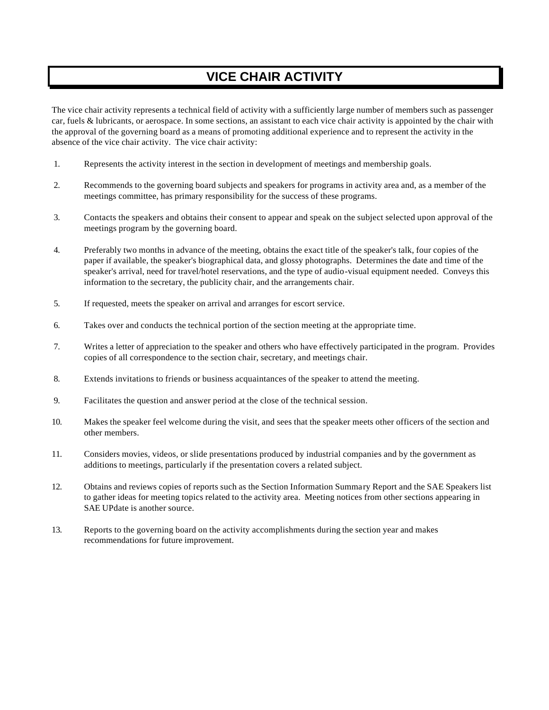# **VICE CHAIR ACTIVITY**

The vice chair activity represents a technical field of activity with a sufficiently large number of members such as passenger car, fuels & lubricants, or aerospace. In some sections, an assistant to each vice chair activity is appointed by the chair with the approval of the governing board as a means of promoting additional experience and to represent the activity in the absence of the vice chair activity. The vice chair activity:

- 1. Represents the activity interest in the section in development of meetings and membership goals.
- 2. Recommends to the governing board subjects and speakers for programs in activity area and, as a member of the meetings committee, has primary responsibility for the success of these programs.
- 3. Contacts the speakers and obtains their consent to appear and speak on the subject selected upon approval of the meetings program by the governing board.
- 4. Preferably two months in advance of the meeting, obtains the exact title of the speaker's talk, four copies of the paper if available, the speaker's biographical data, and glossy photographs. Determines the date and time of the speaker's arrival, need for travel/hotel reservations, and the type of audio-visual equipment needed. Conveys this information to the secretary, the publicity chair, and the arrangements chair.
- 5. If requested, meets the speaker on arrival and arranges for escort service.
- 6. Takes over and conducts the technical portion of the section meeting at the appropriate time.
- 7. Writes a letter of appreciation to the speaker and others who have effectively participated in the program. Provides copies of all correspondence to the section chair, secretary, and meetings chair.
- 8. Extends invitations to friends or business acquaintances of the speaker to attend the meeting.
- 9. Facilitates the question and answer period at the close of the technical session.
- 10. Makes the speaker feel welcome during the visit, and sees that the speaker meets other officers of the section and other members.
- 11. Considers movies, videos, or slide presentations produced by industrial companies and by the government as additions to meetings, particularly if the presentation covers a related subject.
- 12. Obtains and reviews copies of reports such as the Section Information Summary Report and the SAE Speakers list to gather ideas for meeting topics related to the activity area. Meeting notices from other sections appearing in SAE UPdate is another source.
- 13. Reports to the governing board on the activity accomplishments during the section year and makes recommendations for future improvement.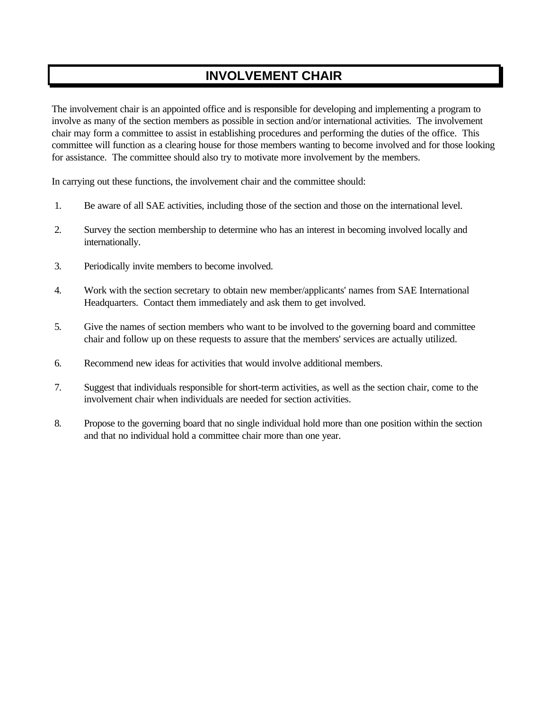# **INVOLVEMENT CHAIR**

The involvement chair is an appointed office and is responsible for developing and implementing a program to involve as many of the section members as possible in section and/or international activities. The involvement chair may form a committee to assist in establishing procedures and performing the duties of the office. This committee will function as a clearing house for those members wanting to become involved and for those looking for assistance. The committee should also try to motivate more involvement by the members.

In carrying out these functions, the involvement chair and the committee should:

- 1. Be aware of all SAE activities, including those of the section and those on the international level.
- 2. Survey the section membership to determine who has an interest in becoming involved locally and internationally.
- 3. Periodically invite members to become involved.
- 4. Work with the section secretary to obtain new member/applicants' names from SAE International Headquarters. Contact them immediately and ask them to get involved.
- 5. Give the names of section members who want to be involved to the governing board and committee chair and follow up on these requests to assure that the members' services are actually utilized.
- 6. Recommend new ideas for activities that would involve additional members.
- 7. Suggest that individuals responsible for short-term activities, as well as the section chair, come to the involvement chair when individuals are needed for section activities.
- 8. Propose to the governing board that no single individual hold more than one position within the section and that no individual hold a committee chair more than one year.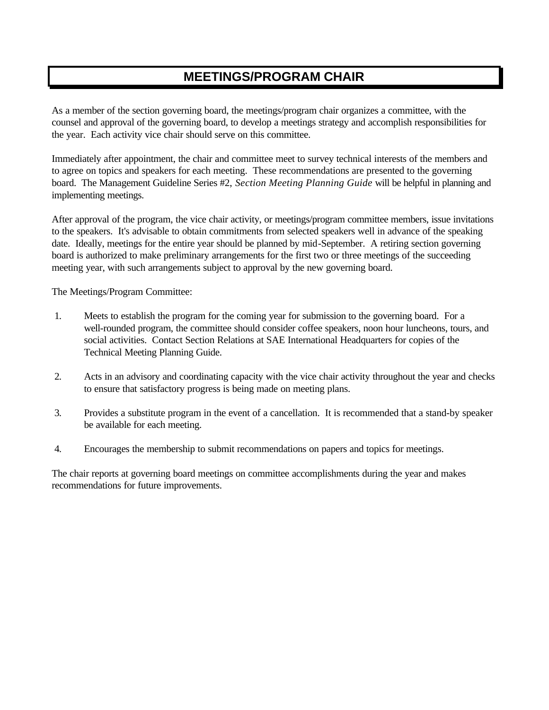# **MEETINGS/PROGRAM CHAIR**

As a member of the section governing board, the meetings/program chair organizes a committee, with the counsel and approval of the governing board, to develop a meetings strategy and accomplish responsibilities for the year. Each activity vice chair should serve on this committee.

Immediately after appointment, the chair and committee meet to survey technical interests of the members and to agree on topics and speakers for each meeting. These recommendations are presented to the governing board. The Management Guideline Series #2, *Section Meeting Planning Guide* will be helpful in planning and implementing meetings.

After approval of the program, the vice chair activity, or meetings/program committee members, issue invitations to the speakers. It's advisable to obtain commitments from selected speakers well in advance of the speaking date. Ideally, meetings for the entire year should be planned by mid-September. A retiring section governing board is authorized to make preliminary arrangements for the first two or three meetings of the succeeding meeting year, with such arrangements subject to approval by the new governing board.

The Meetings/Program Committee:

- 1. Meets to establish the program for the coming year for submission to the governing board. For a well-rounded program, the committee should consider coffee speakers, noon hour luncheons, tours, and social activities. Contact Section Relations at SAE International Headquarters for copies of the Technical Meeting Planning Guide.
- 2. Acts in an advisory and coordinating capacity with the vice chair activity throughout the year and checks to ensure that satisfactory progress is being made on meeting plans.
- 3. Provides a substitute program in the event of a cancellation. It is recommended that a stand-by speaker be available for each meeting.
- 4. Encourages the membership to submit recommendations on papers and topics for meetings.

The chair reports at governing board meetings on committee accomplishments during the year and makes recommendations for future improvements.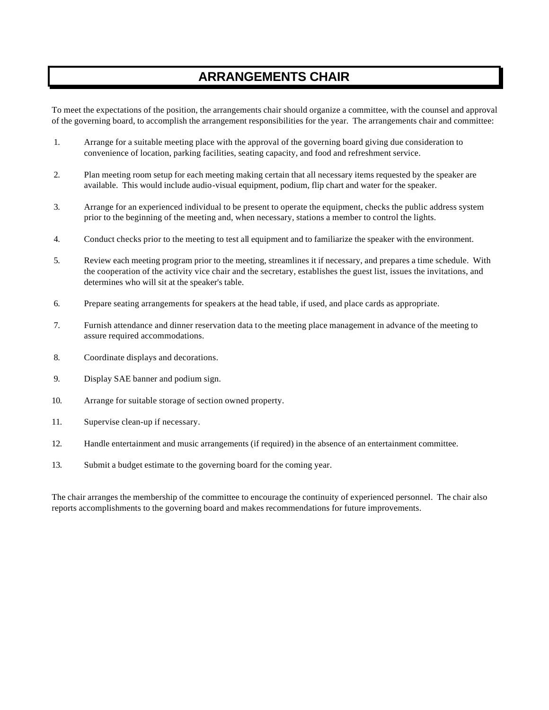# **ARRANGEMENTS CHAIR**

To meet the expectations of the position, the arrangements chair should organize a committee, with the counsel and approval of the governing board, to accomplish the arrangement responsibilities for the year. The arrangements chair and committee:

- 1. Arrange for a suitable meeting place with the approval of the governing board giving due consideration to convenience of location, parking facilities, seating capacity, and food and refreshment service.
- 2. Plan meeting room setup for each meeting making certain that all necessary items requested by the speaker are available. This would include audio-visual equipment, podium, flip chart and water for the speaker.
- 3. Arrange for an experienced individual to be present to operate the equipment, checks the public address system prior to the beginning of the meeting and, when necessary, stations a member to control the lights.
- 4. Conduct checks prior to the meeting to test all equipment and to familiarize the speaker with the environment.
- 5. Review each meeting program prior to the meeting, streamlines it if necessary, and prepares a time schedule. With the cooperation of the activity vice chair and the secretary, establishes the guest list, issues the invitations, and determines who will sit at the speaker's table.
- 6. Prepare seating arrangements for speakers at the head table, if used, and place cards as appropriate.
- 7. Furnish attendance and dinner reservation data to the meeting place management in advance of the meeting to assure required accommodations.
- 8. Coordinate displays and decorations.
- 9. Display SAE banner and podium sign.
- 10. Arrange for suitable storage of section owned property.
- 11. Supervise clean-up if necessary.
- 12. Handle entertainment and music arrangements (if required) in the absence of an entertainment committee.
- 13. Submit a budget estimate to the governing board for the coming year.

The chair arranges the membership of the committee to encourage the continuity of experienced personnel. The chair also reports accomplishments to the governing board and makes recommendations for future improvements.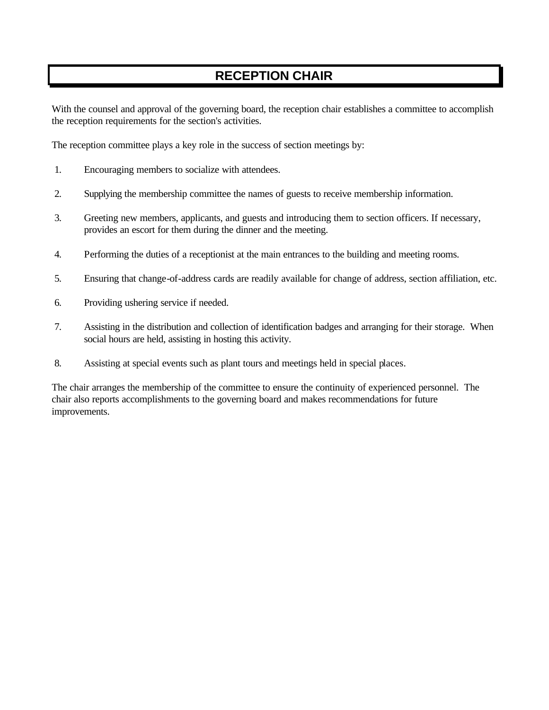# **RECEPTION CHAIR**

With the counsel and approval of the governing board, the reception chair establishes a committee to accomplish the reception requirements for the section's activities.

The reception committee plays a key role in the success of section meetings by:

- 1. Encouraging members to socialize with attendees.
- 2. Supplying the membership committee the names of guests to receive membership information.
- 3. Greeting new members, applicants, and guests and introducing them to section officers. If necessary, provides an escort for them during the dinner and the meeting.
- 4. Performing the duties of a receptionist at the main entrances to the building and meeting rooms.
- 5. Ensuring that change-of-address cards are readily available for change of address, section affiliation, etc.
- 6. Providing ushering service if needed.
- 7. Assisting in the distribution and collection of identification badges and arranging for their storage. When social hours are held, assisting in hosting this activity.
- 8. Assisting at special events such as plant tours and meetings held in special places.

The chair arranges the membership of the committee to ensure the continuity of experienced personnel. The chair also reports accomplishments to the governing board and makes recommendations for future improvements.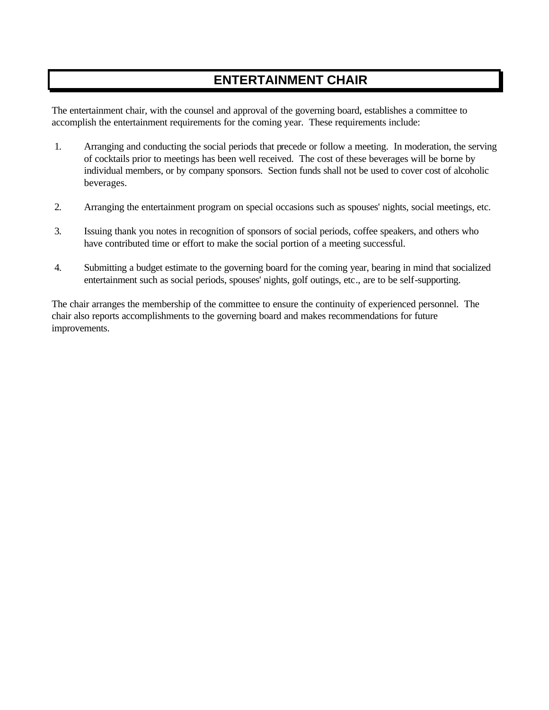## **ENTERTAINMENT CHAIR**

The entertainment chair, with the counsel and approval of the governing board, establishes a committee to accomplish the entertainment requirements for the coming year. These requirements include:

- 1. Arranging and conducting the social periods that precede or follow a meeting. In moderation, the serving of cocktails prior to meetings has been well received. The cost of these beverages will be borne by individual members, or by company sponsors. Section funds shall not be used to cover cost of alcoholic beverages.
- 2. Arranging the entertainment program on special occasions such as spouses' nights, social meetings, etc.
- 3. Issuing thank you notes in recognition of sponsors of social periods, coffee speakers, and others who have contributed time or effort to make the social portion of a meeting successful.
- 4. Submitting a budget estimate to the governing board for the coming year, bearing in mind that socialized entertainment such as social periods, spouses' nights, golf outings, etc., are to be self-supporting.

The chair arranges the membership of the committee to ensure the continuity of experienced personnel. The chair also reports accomplishments to the governing board and makes recommendations for future improvements.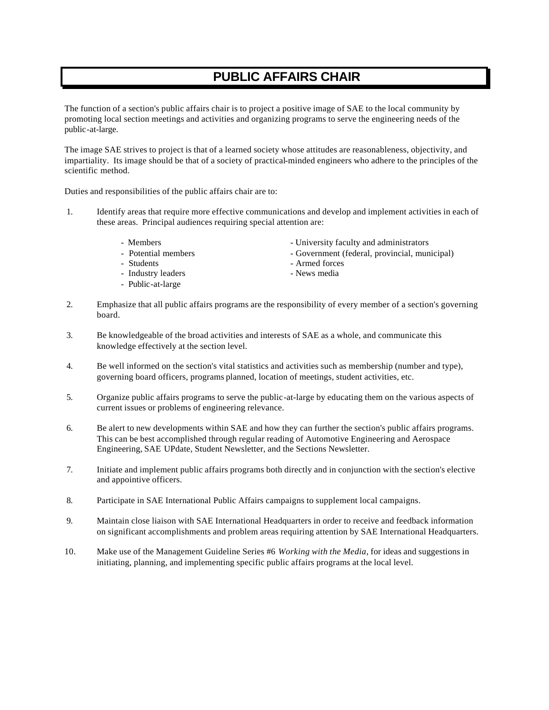## **PUBLIC AFFAIRS CHAIR**

The function of a section's public affairs chair is to project a positive image of SAE to the local community by promoting local section meetings and activities and organizing programs to serve the engineering needs of the public-at-large.

The image SAE strives to project is that of a learned society whose attitudes are reasonableness, objectivity, and impartiality. Its image should be that of a society of practical-minded engineers who adhere to the principles of the scientific method.

Duties and responsibilities of the public affairs chair are to:

- 1. Identify areas that require more effective communications and develop and implement activities in each of these areas. Principal audiences requiring special attention are:
	-
	-
	- Students Armed forces
	- Industry leaders  **News media**
	- Public-at-large
	- Members University faculty and administrators
	- Potential members Government (federal, provincial, municipal)
		-
		-
- 2. Emphasize that all public affairs programs are the responsibility of every member of a section's governing board.
- 3. Be knowledgeable of the broad activities and interests of SAE as a whole, and communicate this knowledge effectively at the section level.
- 4. Be well informed on the section's vital statistics and activities such as membership (number and type), governing board officers, programs planned, location of meetings, student activities, etc.
- 5. Organize public affairs programs to serve the public-at-large by educating them on the various aspects of current issues or problems of engineering relevance.
- 6. Be alert to new developments within SAE and how they can further the section's public affairs programs. This can be best accomplished through regular reading of Automotive Engineering and Aerospace Engineering, SAE UPdate, Student Newsletter, and the Sections Newsletter.
- 7. Initiate and implement public affairs programs both directly and in conjunction with the section's elective and appointive officers.
- 8. Participate in SAE International Public Affairs campaigns to supplement local campaigns.
- 9. Maintain close liaison with SAE International Headquarters in order to receive and feedback information on significant accomplishments and problem areas requiring attention by SAE International Headquarters.
- 10. Make use of the Management Guideline Series #6 *Working with the Media*, for ideas and suggestions in initiating, planning, and implementing specific public affairs programs at the local level.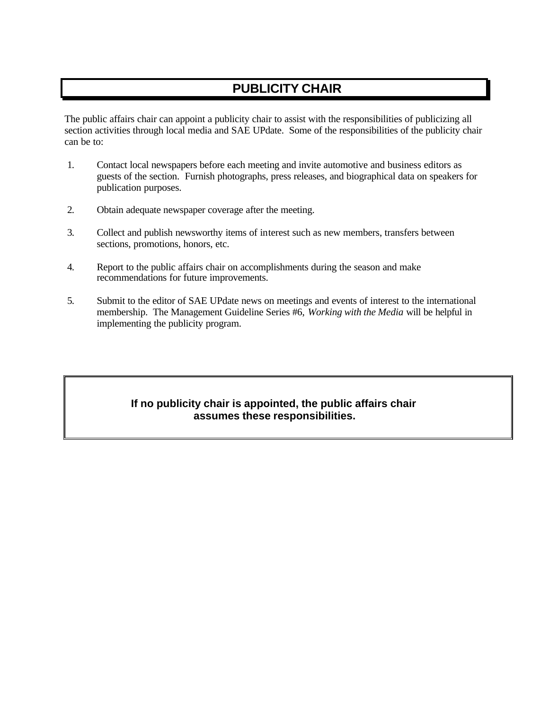# **PUBLICITY CHAIR**

The public affairs chair can appoint a publicity chair to assist with the responsibilities of publicizing all section activities through local media and SAE UPdate. Some of the responsibilities of the publicity chair can be to:

- 1. Contact local newspapers before each meeting and invite automotive and business editors as guests of the section. Furnish photographs, press releases, and biographical data on speakers for publication purposes.
- 2. Obtain adequate newspaper coverage after the meeting.
- 3. Collect and publish newsworthy items of interest such as new members, transfers between sections, promotions, honors, etc.
- 4. Report to the public affairs chair on accomplishments during the season and make recommendations for future improvements.
- 5. Submit to the editor of SAE UPdate news on meetings and events of interest to the international membership. The Management Guideline Series #6, *Working with the Media* will be helpful in implementing the publicity program.

### **If no publicity chair is appointed, the public affairs chair assumes these responsibilities.**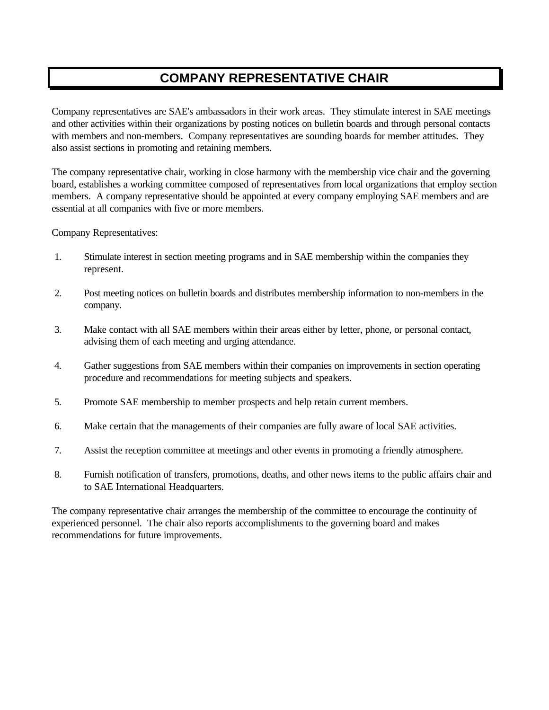## **COMPANY REPRESENTATIVE CHAIR**

Company representatives are SAE's ambassadors in their work areas. They stimulate interest in SAE meetings and other activities within their organizations by posting notices on bulletin boards and through personal contacts with members and non-members. Company representatives are sounding boards for member attitudes. They also assist sections in promoting and retaining members.

The company representative chair, working in close harmony with the membership vice chair and the governing board, establishes a working committee composed of representatives from local organizations that employ section members. A company representative should be appointed at every company employing SAE members and are essential at all companies with five or more members.

Company Representatives:

- 1. Stimulate interest in section meeting programs and in SAE membership within the companies they represent.
- 2. Post meeting notices on bulletin boards and distributes membership information to non-members in the company.
- 3. Make contact with all SAE members within their areas either by letter, phone, or personal contact, advising them of each meeting and urging attendance.
- 4. Gather suggestions from SAE members within their companies on improvements in section operating procedure and recommendations for meeting subjects and speakers.
- 5. Promote SAE membership to member prospects and help retain current members.
- 6. Make certain that the managements of their companies are fully aware of local SAE activities.
- 7. Assist the reception committee at meetings and other events in promoting a friendly atmosphere.
- 8. Furnish notification of transfers, promotions, deaths, and other news items to the public affairs chair and to SAE International Headquarters.

The company representative chair arranges the membership of the committee to encourage the continuity of experienced personnel. The chair also reports accomplishments to the governing board and makes recommendations for future improvements.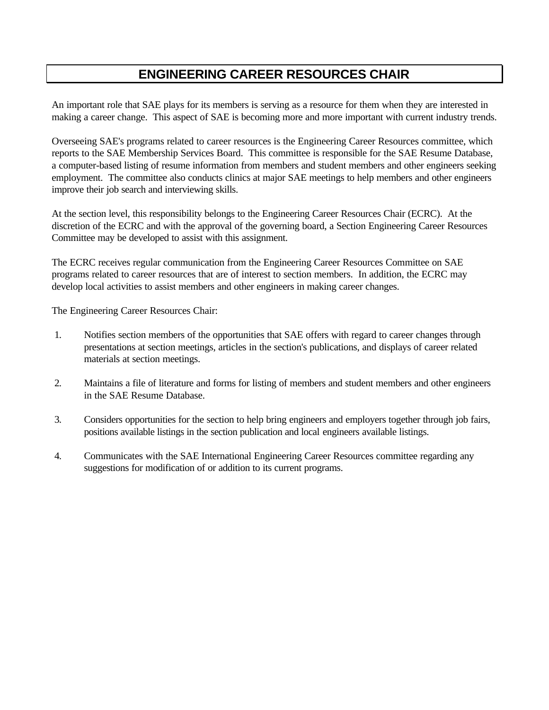## **ENGINEERING CAREER RESOURCES CHAIR**

An important role that SAE plays for its members is serving as a resource for them when they are interested in making a career change. This aspect of SAE is becoming more and more important with current industry trends.

Overseeing SAE's programs related to career resources is the Engineering Career Resources committee, which reports to the SAE Membership Services Board. This committee is responsible for the SAE Resume Database, a computer-based listing of resume information from members and student members and other engineers seeking employment. The committee also conducts clinics at major SAE meetings to help members and other engineers improve their job search and interviewing skills.

At the section level, this responsibility belongs to the Engineering Career Resources Chair (ECRC). At the discretion of the ECRC and with the approval of the governing board, a Section Engineering Career Resources Committee may be developed to assist with this assignment.

The ECRC receives regular communication from the Engineering Career Resources Committee on SAE programs related to career resources that are of interest to section members. In addition, the ECRC may develop local activities to assist members and other engineers in making career changes.

The Engineering Career Resources Chair:

- 1. Notifies section members of the opportunities that SAE offers with regard to career changes through presentations at section meetings, articles in the section's publications, and displays of career related materials at section meetings.
- 2. Maintains a file of literature and forms for listing of members and student members and other engineers in the SAE Resume Database.
- 3. Considers opportunities for the section to help bring engineers and employers together through job fairs, positions available listings in the section publication and local engineers available listings.
- 4. Communicates with the SAE International Engineering Career Resources committee regarding any suggestions for modification of or addition to its current programs.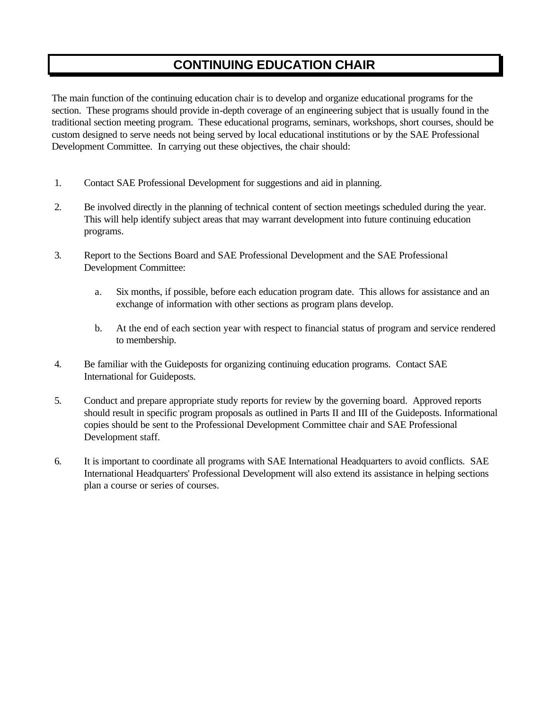## **CONTINUING EDUCATION CHAIR**

The main function of the continuing education chair is to develop and organize educational programs for the section. These programs should provide in-depth coverage of an engineering subject that is usually found in the traditional section meeting program. These educational programs, seminars, workshops, short courses, should be custom designed to serve needs not being served by local educational institutions or by the SAE Professional Development Committee. In carrying out these objectives, the chair should:

- 1. Contact SAE Professional Development for suggestions and aid in planning.
- 2. Be involved directly in the planning of technical content of section meetings scheduled during the year. This will help identify subject areas that may warrant development into future continuing education programs.
- 3. Report to the Sections Board and SAE Professional Development and the SAE Professional Development Committee:
	- a. Six months, if possible, before each education program date. This allows for assistance and an exchange of information with other sections as program plans develop.
	- b. At the end of each section year with respect to financial status of program and service rendered to membership.
- 4. Be familiar with the Guideposts for organizing continuing education programs. Contact SAE International for Guideposts.
- 5. Conduct and prepare appropriate study reports for review by the governing board. Approved reports should result in specific program proposals as outlined in Parts II and III of the Guideposts. Informational copies should be sent to the Professional Development Committee chair and SAE Professional Development staff.
- 6. It is important to coordinate all programs with SAE International Headquarters to avoid conflicts. SAE International Headquarters' Professional Development will also extend its assistance in helping sections plan a course or series of courses.